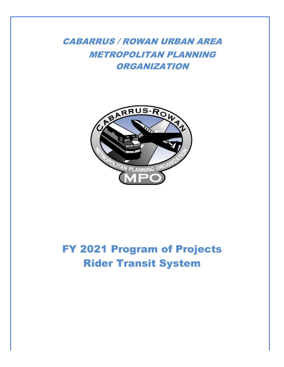CABARRUS / ROWAN URBAN AREA METROPOLITAN PLANNING ORGANIZATION



# FY 2021 Program of Projects Rider Transit System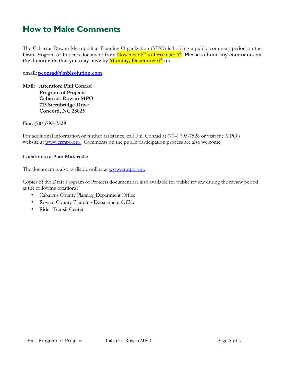# **How to Make Comments**

The Cabarrus-Rowan Metropolitan Planning Organization (MPO) is holding a public comment period on the Draft Program of Projects document from November 8<sup>th</sup> to December 6<sup>th</sup>. Please submit any comments on **the documents that you may have by Monday, December 6th to:**

**email: [pconrad@mblsolution.com](mailto:pconrad@mblsolution.com)**

**Mail: Attention: Phil Conrad Program of Projects Cabarrus-Rowan MPO 713 Sternbridge Drive Concord, NC 28025**

**Fax: (704)795-7529**

For additional information or further assistance, call Phil Conrad at (704) 795-7528 or visit the MPO's website at www.crmpo.org. Comments on the public participation process are also welcome.

# **Locations of Plan Materials:**

The document is also available online at [www.crmpo.org.](http://www.crmpo.org./)

Copies of the Draft Program of Projects document are also available for public review during the review period at the following locations:

- Cabarrus County Planning Department Office
- Rowan County Planning Department Office
- Rider Transit Center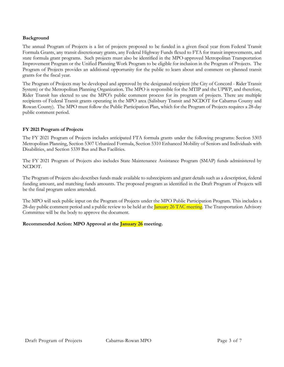# **Background**

The annual Program of Projects is a list of projects proposed to be funded in a given fiscal year from Federal Transit Formula Grants, any transit discretionary grants, any Federal Highway Funds flexed to FTA for transit improvements, and state formula grant programs. Such projects must also be identified in the MPO-approved Metropolitan Transportation Improvement Program or the Unified Planning Work Program to be eligible for inclusion in the Program of Projects. The Program of Projects provides an additional opportunity for the public to learn about and comment on planned transit grants for the fiscal year.

The Program of Projects may be developed and approved by the designated recipient (the City of Concord - Rider Transit System) or the Metropolitan Planning Organization. The MPO is responsible for the MTIP and the UPWP, and therefore, Rider Transit has elected to use the MPO's public comment process for its program of projects. There are multiple recipients of Federal Transit grants operating in the MPO area (Salisbury Transit and NCDOT for Cabarrus County and Rowan County). The MPO must follow the Public Participation Plan, which for the Program of Projects requires a 28-day public comment period.

# **FY 2021 Program of Projects**

The FY 2021 Program of Projects includes anticipated FTA formula grants under the following programs: Section 5303 Metropolitan Planning, Section 5307 Urbanized Formula, Section 5310 Enhanced Mobility of Seniors and Individuals with Disabilities, and Section 5339 Bus and Bus Facilities.

The FY 2021 Program of Projects also includes State Maintenance Assistance Program (SMAP) funds administered by NCDOT.

The Program of Projects also describes funds made available to subrecipients and grant details such as a description, federal funding amount, and matching funds amounts. The proposed program as identified in the Draft Program of Projects will be the final program unless amended.

The MPO will seek public input on the Program of Projects under the MPO Public Participation Program. This includes a 28-day public comment period and a public review to be held at the *January 26 TAC meeting*. The Transportation Advisory Committee will be the body to approve the document.

# **Recommended Action: MPO Approval at the January 26 meeting.**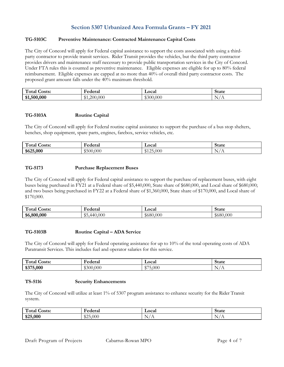# **Section 5307 Urbanized Area Formula Grants – FY 2021**

# **TG-5103C Preventive Maintenance: Contracted Maintenance Capital Costs**

The City of Concord will apply for Federal capital assistance to support the costs associated with using a thirdparty contractor to provide transit services. Rider Transit provides the vehicles, but the third party contractor provides drivers and maintenance staff necessary to provide public transportation services in the City of Concord. Under FTA rules this is counted as preventive maintenance. Eligible expenses are eligible for up to 80% federal reimbursement. Eligible expenses are capped at no more than 40% of overall third party contractor costs. The proposed grant amount falls under the 40% maximum threshold.

| $\mathbf{H}$<br><b>Costs:</b><br>1 otal | <b>Federal</b>                            | Local                        | $+$ 0+ $\epsilon$<br>olalc |
|-----------------------------------------|-------------------------------------------|------------------------------|----------------------------|
| ,500,000<br>\$1,                        | 0.000<br>∍∩∩<br>$\triangle$ 1<br>ັ⊎ 1.∠∪″ | 0.000<br>$\triangle$<br>วเ แ | N,<br><b>⊥⊥</b>            |

# **TG-5103A Routine Capital**

The City of Concord will apply for Federal routine capital assistance to support the purchase of a bus stop shelters, benches, shop equipment, spare parts, engines, farebox, service vehicles, etc.

| $\mathbf{H}$<br>Total<br><b>Costs:</b> | ∀ederai<br>.  | Local                                     | <b>State</b>        |
|----------------------------------------|---------------|-------------------------------------------|---------------------|
| \$625,000                              | 500ء<br>0.000 | $. \cap$<br>.000<br>$d \cdot 1$<br>0123.0 | N<br>$\overline{1}$ |

# **TG-5173 Purchase Replacement Buses**

The City of Concord will apply for Federal capital assistance to support the purchase of replacement buses, with eight buses being purchased in FY21 at a Federal share of \$5,440,000, State share of \$680,000, and Local share of \$680,000; and two buses being purchased in FY22 at a Federal share of \$1,360,000, State share of \$170,000, and Local share of \$170,000.

| $\sqrt{2}$<br><b>Costs:</b><br>1 otal | ederal -                                  | Local     | <b>State</b> |
|---------------------------------------|-------------------------------------------|-----------|--------------|
| \$6,800,000                           | $\uparrow$ $\uparrow$<br>0.000<br>44<br>ມ | \$680,000 | \$680,000    |

# **TG-5103B Routine Capital – ADA Service**

The City of Concord will apply for Federal operating assistance for up to 10% of the total operating costs of ADA Paratransit Services. This includes fuel and operator salaries for this service.

| $\mathbf{H}$<br>Total<br><b>Costs:</b> | <b>Federal</b>      | ∟ocal                      | $\mathbf{r}$<br>state                                      |
|----------------------------------------|---------------------|----------------------------|------------------------------------------------------------|
| \$375,000                              | 000y<br>ጦባ<br>\$300 | $\triangle$<br>′5.000<br>w | $\sim$<br><b>TT</b><br>$\overline{1}$<br><b>STATISTICS</b> |

#### **TS-5116 Security Enhancements**

The City of Concord will utilize at least 1% of 5307 program assistance to enhance security for the Rider Transit system.

| $\mathbf{H}$<br>Total<br><b>Costs:</b> | Federal  | ∟ocal | <b>State</b> |
|----------------------------------------|----------|-------|--------------|
| \$25,000                               | \$25,000 | N/A   | N/A          |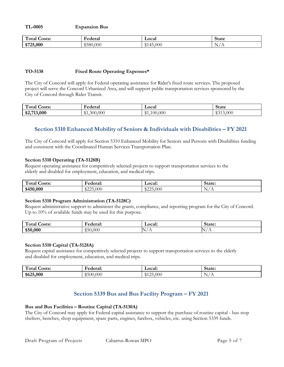**TL-0005 Expansion Bus**

| $\mathbf{H}$<br>rotal<br><b>Costs:</b> | <b>Federal</b>   | Local                                            | State           |
|----------------------------------------|------------------|--------------------------------------------------|-----------------|
| \$725,000                              | $\Omega$<br>.000 | ,000<br>$\overline{\phantom{0}}$<br>$\mathbb{C}$ | N<br><u>. .</u> |

# **TO-5138 Fixed Route Operating Expenses\***

The City of Concord will apply for Federal operating assistance for Rider's fixed route services. The proposed project will serve the Concord Urbanized Area, and will support public transportation services sponsored by the City of Concord through Rider Transit.

| $\mathbf{H}$<br><b>Costs:</b><br>1 otal | ∀ederal                                      | Local                   | State                      |
|-----------------------------------------|----------------------------------------------|-------------------------|----------------------------|
| \$2,713,000<br>Φ4,                      | 0.000<br>200<br>$\bigoplus$ 1<br><b>WILL</b> | ሙላ<br>0.000<br>ΩC<br>.n | $\mathbb{A}$<br>3.000<br>ັ |

# **Section 5310 Enhanced Mobility of Seniors & Individuals with Disabilities – FY 2021**

The City of Concord will apply for Section 5310 Enhanced Mobility for Seniors and Persons with Disabilities funding and consistent with the Coordinated Human Services Transportation Plan.

### **Section 5310 Operating (TA-5128B)**

Request operating assistance for competitively selected projects to support transportation services to the elderly and disabled for employment, education, and medical trips.

| $\mathbf{H}$<br>otal'<br><b>Costs:</b> | Federal:                      | Local: | State:         |
|----------------------------------------|-------------------------------|--------|----------------|
| \$450,000                              | $\uparrow \land \land \vdash$ | 000    | 'N s           |
|                                        | .000                          | 0000   | $\overline{1}$ |
|                                        | ഄ൶ഄ                           | ∿د ب∠ی | . .            |

#### **Section 5310 Program Administration (TA-5128C)**

Request administrative support to administer the grants, compliance, and reporting program for the City of Concord. Up to 10% of available funds may be used for this purpose.

| $\mathbf{H}$<br>r otal<br>Josts: | ا معمامها<br>я ат<br>.<br>. | ocal:<br>- - - -<br>__ | State: |
|----------------------------------|-----------------------------|------------------------|--------|
| 000                              | .000                        | $\overline{1}$         | h.     |
| \$50                             | י ור                        |                        | . .    |

#### **Section 5310 Capital (TA-5128A)**

Request capital assistance for competitively selected projects to support transportation services to the elderly and disabled for employment, education, and medical trips.

| $\sqrt{2}$<br>ota:<br>nete:<br>ມຣເຣ. | HANAPAIL<br>$-1$ alo     | Local:   | State:                              |
|--------------------------------------|--------------------------|----------|-------------------------------------|
| \$625,000                            | 000.<br>$\Omega$<br>⊸⊃∪∪ | 000<br>. | -<br>$\mathbb{N}$<br>$\overline{1}$ |

# **Section 5339 Bus and Bus Facility Program – FY 2021**

# **Bus and Bus Facilities – Routine Capital (TA-5130A)**

The City of Concord may apply for Federal capital assistance to support the purchase of routine capital - bus stop shelters, benches, shop equipment, spare parts, engines, farebox, vehicles, etc. using Section 5339 funds.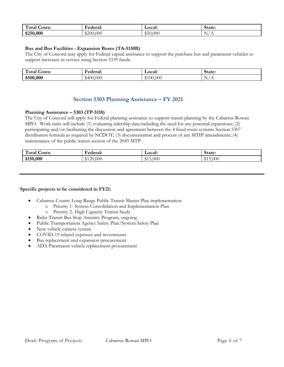| $\mathbf{H}$<br>rotal'<br><b>Costs:</b> | Federal:       | <b>Local:</b>                            | State:                                   |
|-----------------------------------------|----------------|------------------------------------------|------------------------------------------|
| \$250,000                               | \$200<br>0.000 | $\uparrow$ $\uparrow$<br>0.000<br>$\sim$ | $\sim$<br>$\mathbf{N}$<br>$\overline{1}$ |

# **Bus and Bus Facilities - Expansion Buses (TA-5130B)**

The City of Concord may apply for Federal capital assistance to support the purchase bus and paratransit vehicles to support increases in service using Section 5339 funds.

| $\overline{ }$<br>rotal'<br>Costs: | −<br>Federal<br>лаг   | Local:    | state:        |
|------------------------------------|-----------------------|-----------|---------------|
| \$500,000                          | 0.000<br>640f<br>TVV. | 000.<br>K | $\sim$<br>. . |

# **Section 5303 Planning Assistance – FY 2021**

### **Planning Assistance – 5303 (TP-5118)**

The City of Concord will apply for Federal planning assistance to support transit planning by the Cabarrus-Rowan MPO. Work tasks will include (1) evaluating ridership data including the need for any potential expansions; (2) participating and/or facilitating the discussion and agreement between the 4 fixed route systems Section 5307 distribution formula as required by NCDOT; (3) documentation and process of any MTIP amendments; (4) maintenance of the public transit section of the 2045 MTP.

| $\sim$<br>Total<br>Costs: | −<br>ederal:                              | <b>Local:</b> | State:                        |
|---------------------------|-------------------------------------------|---------------|-------------------------------|
| \$150,000                 | ٬ ግ $\cap$<br>000.<br><b>JU</b><br>$\sim$ | .000<br>.     | .000<br><u>ሮ 1</u><br>v 1 J 1 |

#### **Specific projects to be considered in FY21:**

- Cabarrus County Long Range Public Transit Master Plan implementation
	- o Priority 1- System Consolidation and Implementation Plan
	- o Priority 2- High Capacity Transit Study
- Rider Transit Bus Stop Amenity Program, ongoing
- Public Transportation Agency Safety Plan/System Safety Plan
- New vehicle camera system
- COVID-19 related expenses and investments
- Bus replacement and expansion procurement
- ADA Paratransit vehicle replacement procurement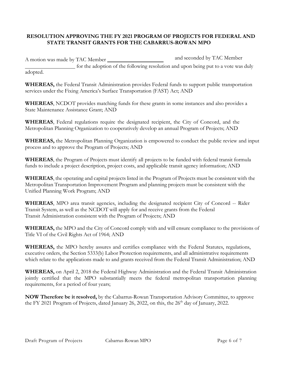# **RESOLUTION APPROVING THE FY 2021 PROGRAM OF PROJECTS FOR FEDERAL AND STATE TRANSIT GRANTS FOR THE CABARRUS-ROWAN MPO**

A motion was made by TAC Member **and seconded** by TAC Member for the adoption of the following resolution and upon being put to a vote was duly adopted.

**WHEREAS,** the Federal Transit Administration provides Federal funds to support public transportation services under the Fixing America's Surface Transportation (FAST) Act; AND

**WHEREAS**, NCDOT provides matching funds for these grants in some instances and also provides a State Maintenance Assistance Grant; AND

**WHEREAS**, Federal regulations require the designated recipient, the City of Concord, and the Metropolitan Planning Organization to cooperatively develop an annual Program of Projects; AND

**WHEREAS,** the Metropolitan Planning Organization is empowered to conduct the public review and input process and to approve the Program of Projects; AND

**WHEREAS**, the Program of Projects must identify all projects to be funded with federal transit formula funds to include a project description, project costs, and applicable transit agency information; AND

**WHEREAS**, the operating and capital projects listed in the Program of Projects must be consistent with the Metropolitan Transportation Improvement Program and planning projects must be consistent with the Unified Planning Work Program; AND

**WHEREAS**, MPO area transit agencies, including the designated recipient City of Concord -- Rider Transit System, as well as the NCDOT will apply for and receive grants from the Federal Transit Administration consistent with the Program of Projects; AND

**WHEREAS,** the MPO and the City of Concord comply with and will ensure compliance to the provisions of Title VI of the Civil Rights Act of 1964; AND

**WHEREAS,** the MPO hereby assures and certifies compliance with the Federal Statutes, regulations, executive orders, the Section 5333(b) Labor Protection requirements, and all administrative requirements which relate to the applications made to and grants received from the Federal Transit Administration; AND

**WHEREAS,** on April 2, 2018 the Federal Highway Administration and the Federal Transit Administration jointly certified that the MPO substantially meets the federal metropolitan transportation planning requirements, for a period of four years;

**NOW Therefore be it resolved,** by the Cabarrus-Rowan Transportation Advisory Committee, to approve the FY 2021 Program of Projects, dated January 26, 2022, on this, the  $26<sup>th</sup>$  day of January, 2022.